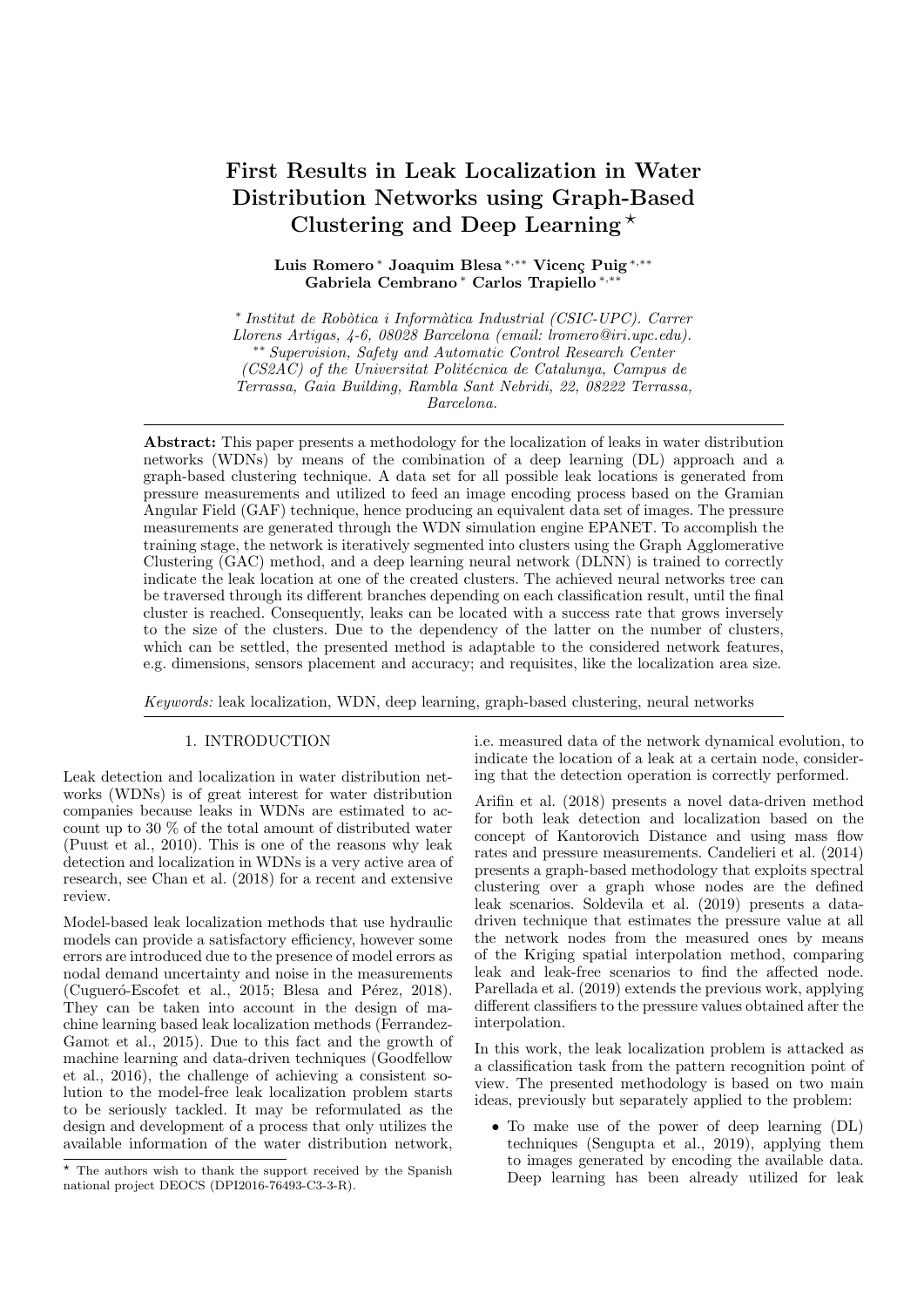# First Results in Leak Localization in Water Distribution Networks using Graph-Based Clustering and Deep Learning  $\star$

Luis Romero\* Joaquim Blesa \*,\*\* Vicenç Puig \*,\*\* Gabriela Cembrano <sup>∗</sup> Carlos Trapiello <sup>∗</sup>,∗∗

\* Institut de Robòtica i Informàtica Industrial (CSIC-UPC). Carrer Llorens Artigas, 4-6, 08028 Barcelona (email: lromero@iri.upc.edu). ∗∗ Supervision, Safety and Automatic Control Research Center  $(CS2AC)$  of the Universitat Politécnica de Catalunya, Campus de Terrassa, Gaia Building, Rambla Sant Nebridi, 22, 08222 Terrassa, Barcelona.

Abstract: This paper presents a methodology for the localization of leaks in water distribution networks (WDNs) by means of the combination of a deep learning (DL) approach and a graph-based clustering technique. A data set for all possible leak locations is generated from pressure measurements and utilized to feed an image encoding process based on the Gramian Angular Field (GAF) technique, hence producing an equivalent data set of images. The pressure measurements are generated through the WDN simulation engine EPANET. To accomplish the training stage, the network is iteratively segmented into clusters using the Graph Agglomerative Clustering (GAC) method, and a deep learning neural network (DLNN) is trained to correctly indicate the leak location at one of the created clusters. The achieved neural networks tree can be traversed through its different branches depending on each classification result, until the final cluster is reached. Consequently, leaks can be located with a success rate that grows inversely to the size of the clusters. Due to the dependency of the latter on the number of clusters, which can be settled, the presented method is adaptable to the considered network features, e.g. dimensions, sensors placement and accuracy; and requisites, like the localization area size.

Keywords: leak localization, WDN, deep learning, graph-based clustering, neural networks

## 1. INTRODUCTION

Leak detection and localization in water distribution networks (WDNs) is of great interest for water distribution companies because leaks in WDNs are estimated to account up to 30 % of the total amount of distributed water (Puust et al., 2010). This is one of the reasons why leak detection and localization in WDNs is a very active area of research, see Chan et al. (2018) for a recent and extensive review.

Model-based leak localization methods that use hydraulic models can provide a satisfactory efficiency, however some errors are introduced due to the presence of model errors as nodal demand uncertainty and noise in the measurements (Cugueró-Escofet et al., 2015; Blesa and Pérez, 2018). They can be taken into account in the design of machine learning based leak localization methods (Ferrandez-Gamot et al., 2015). Due to this fact and the growth of machine learning and data-driven techniques (Goodfellow et al., 2016), the challenge of achieving a consistent solution to the model-free leak localization problem starts to be seriously tackled. It may be reformulated as the design and development of a process that only utilizes the available information of the water distribution network,

i.e. measured data of the network dynamical evolution, to indicate the location of a leak at a certain node, considering that the detection operation is correctly performed.

Arifin et al. (2018) presents a novel data-driven method for both leak detection and localization based on the concept of Kantorovich Distance and using mass flow rates and pressure measurements. Candelieri et al. (2014) presents a graph-based methodology that exploits spectral clustering over a graph whose nodes are the defined leak scenarios. Soldevila et al. (2019) presents a datadriven technique that estimates the pressure value at all the network nodes from the measured ones by means of the Kriging spatial interpolation method, comparing leak and leak-free scenarios to find the affected node. Parellada et al. (2019) extends the previous work, applying different classifiers to the pressure values obtained after the interpolation.

In this work, the leak localization problem is attacked as a classification task from the pattern recognition point of view. The presented methodology is based on two main ideas, previously but separately applied to the problem:

• To make use of the power of deep learning (DL) techniques (Sengupta et al., 2019), applying them to images generated by encoding the available data. Deep learning has been already utilized for leak

<sup>?</sup> The authors wish to thank the support received by the Spanish national project DEOCS (DPI2016-76493-C3-3-R).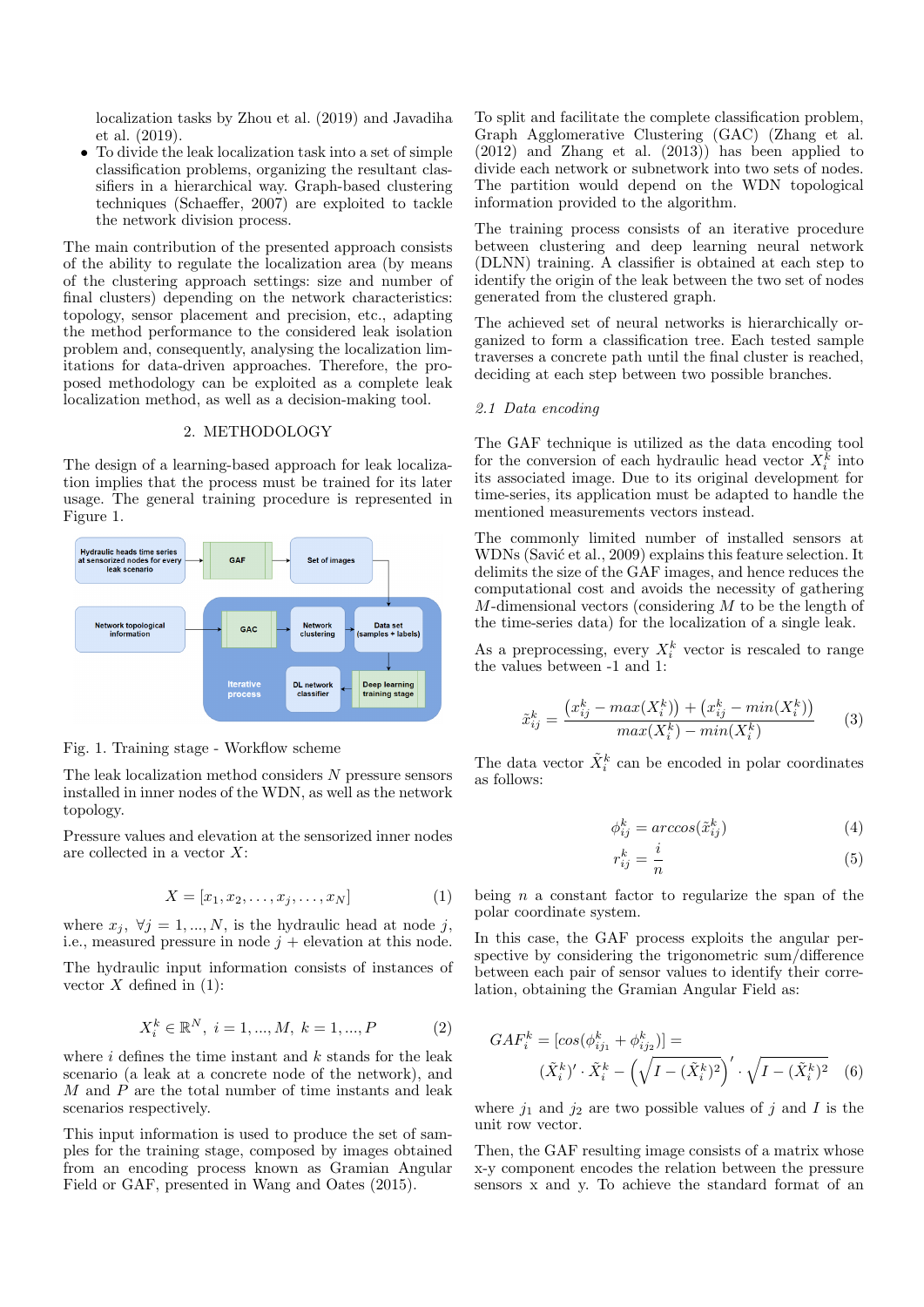localization tasks by Zhou et al. (2019) and Javadiha et al. (2019).

• To divide the leak localization task into a set of simple classification problems, organizing the resultant classifiers in a hierarchical way. Graph-based clustering techniques (Schaeffer, 2007) are exploited to tackle the network division process.

The main contribution of the presented approach consists of the ability to regulate the localization area (by means of the clustering approach settings: size and number of final clusters) depending on the network characteristics: topology, sensor placement and precision, etc., adapting the method performance to the considered leak isolation problem and, consequently, analysing the localization limitations for data-driven approaches. Therefore, the proposed methodology can be exploited as a complete leak localization method, as well as a decision-making tool.

# 2. METHODOLOGY

The design of a learning-based approach for leak localization implies that the process must be trained for its later usage. The general training procedure is represented in Figure 1.



Fig. 1. Training stage - Workflow scheme

The leak localization method considers N pressure sensors installed in inner nodes of the WDN, as well as the network topology.

Pressure values and elevation at the sensorized inner nodes are collected in a vector X:

$$
X = [x_1, x_2, \dots, x_j, \dots, x_N]
$$
\n<sup>(1)</sup>

where  $x_j$ ,  $\forall j = 1, ..., N$ , is the hydraulic head at node j, i.e., measured pressure in node  $j +$  elevation at this node.

The hydraulic input information consists of instances of vector  $X$  defined in (1):

$$
X_i^k \in \mathbb{R}^N, \ i = 1, ..., M, \ k = 1, ..., P \tag{2}
$$

where  $i$  defines the time instant and  $k$  stands for the leak scenario (a leak at a concrete node of the network), and M and P are the total number of time instants and leak scenarios respectively.

This input information is used to produce the set of samples for the training stage, composed by images obtained from an encoding process known as Gramian Angular Field or GAF, presented in Wang and Oates (2015).

To split and facilitate the complete classification problem, Graph Agglomerative Clustering (GAC) (Zhang et al. (2012) and Zhang et al. (2013)) has been applied to divide each network or subnetwork into two sets of nodes. The partition would depend on the WDN topological information provided to the algorithm.

The training process consists of an iterative procedure between clustering and deep learning neural network (DLNN) training. A classifier is obtained at each step to identify the origin of the leak between the two set of nodes generated from the clustered graph.

The achieved set of neural networks is hierarchically organized to form a classification tree. Each tested sample traverses a concrete path until the final cluster is reached, deciding at each step between two possible branches.

## 2.1 Data encoding

The GAF technique is utilized as the data encoding tool for the conversion of each hydraulic head vector  $X_i^{\overline{k}}$  into its associated image. Due to its original development for time-series, its application must be adapted to handle the mentioned measurements vectors instead.

The commonly limited number of installed sensors at WDNs (Savić et al., 2009) explains this feature selection. It delimits the size of the GAF images, and hence reduces the computational cost and avoids the necessity of gathering M-dimensional vectors (considering M to be the length of the time-series data) for the localization of a single leak.

As a preprocessing, every  $X_i^k$  vector is rescaled to range the values between -1 and 1:

$$
\tilde{x}_{ij}^k = \frac{(x_{ij}^k - max(X_i^k)) + (x_{ij}^k - min(X_i^k))}{max(X_i^k) - min(X_i^k)}
$$
(3)

The data vector  $\tilde{X}_i^k$  can be encoded in polar coordinates as follows:

$$
\phi_{ij}^k = \arccos(\tilde{x}_{ij}^k)
$$
\n(4)

$$
r_{ij}^k = \frac{i}{n} \tag{5}
$$

being  $n$  a constant factor to regularize the span of the polar coordinate system.

In this case, the GAF process exploits the angular perspective by considering the trigonometric sum/difference between each pair of sensor values to identify their correlation, obtaining the Gramian Angular Field as:

$$
GAF_i^k = [cos(\phi_{ij_1}^k + \phi_{ij_2}^k)] =
$$
  

$$
(\tilde{X}_i^k)' \cdot \tilde{X}_i^k - (\sqrt{I - (\tilde{X}_i^k)^2})' \cdot \sqrt{I - (\tilde{X}_i^k)^2}
$$
 (6)

where  $j_1$  and  $j_2$  are two possible values of j and I is the unit row vector.

Then, the GAF resulting image consists of a matrix whose x-y component encodes the relation between the pressure sensors x and y. To achieve the standard format of an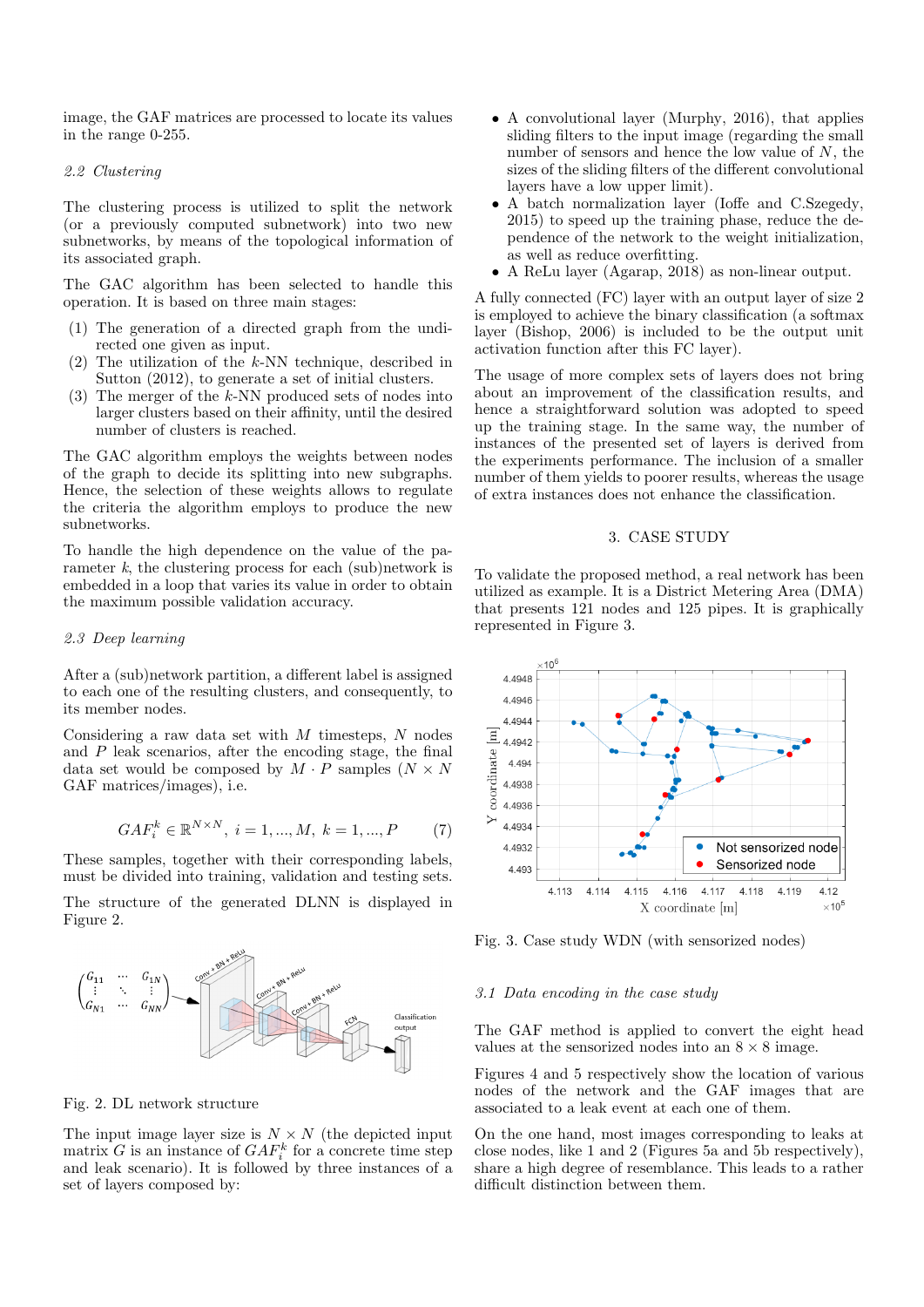image, the GAF matrices are processed to locate its values in the range 0-255.

#### 2.2 Clustering

The clustering process is utilized to split the network (or a previously computed subnetwork) into two new subnetworks, by means of the topological information of its associated graph.

The GAC algorithm has been selected to handle this operation. It is based on three main stages:

- (1) The generation of a directed graph from the undirected one given as input.
- (2) The utilization of the k-NN technique, described in Sutton (2012), to generate a set of initial clusters.
- (3) The merger of the k-NN produced sets of nodes into larger clusters based on their affinity, until the desired number of clusters is reached.

The GAC algorithm employs the weights between nodes of the graph to decide its splitting into new subgraphs. Hence, the selection of these weights allows to regulate the criteria the algorithm employs to produce the new subnetworks.

To handle the high dependence on the value of the parameter  $k$ , the clustering process for each (sub)network is embedded in a loop that varies its value in order to obtain the maximum possible validation accuracy.

#### 2.3 Deep learning

After a (sub)network partition, a different label is assigned to each one of the resulting clusters, and consequently, to its member nodes.

Considering a raw data set with  $M$  timesteps,  $N$  nodes and  $P$  leak scenarios, after the encoding stage, the final data set would be composed by  $M \cdot P$  samples  $(N \times N)$ GAF matrices/images), i.e.

$$
GAF_i^k \in \mathbb{R}^{N \times N}, \ i = 1, ..., M, \ k = 1, ..., P \qquad (7)
$$

These samples, together with their corresponding labels, must be divided into training, validation and testing sets.

The structure of the generated DLNN is displayed in Figure 2.



#### Fig. 2. DL network structure

The input image layer size is  $N \times N$  (the depicted input matrix G is an instance of  $GAF_i^k$  for a concrete time step and leak scenario). It is followed by three instances of a set of layers composed by:

- A convolutional layer (Murphy, 2016), that applies sliding filters to the input image (regarding the small number of sensors and hence the low value of  $N$ , the sizes of the sliding filters of the different convolutional layers have a low upper limit).
- A batch normalization layer (Ioffe and C.Szegedy, 2015) to speed up the training phase, reduce the dependence of the network to the weight initialization, as well as reduce overfitting.
- A ReLu layer (Agarap, 2018) as non-linear output.

A fully connected (FC) layer with an output layer of size 2 is employed to achieve the binary classification (a softmax layer (Bishop, 2006) is included to be the output unit activation function after this FC layer).

The usage of more complex sets of layers does not bring about an improvement of the classification results, and hence a straightforward solution was adopted to speed up the training stage. In the same way, the number of instances of the presented set of layers is derived from the experiments performance. The inclusion of a smaller number of them yields to poorer results, whereas the usage of extra instances does not enhance the classification.

# 3. CASE STUDY

To validate the proposed method, a real network has been utilized as example. It is a District Metering Area (DMA) that presents 121 nodes and 125 pipes. It is graphically represented in Figure 3.



Fig. 3. Case study WDN (with sensorized nodes)

## 3.1 Data encoding in the case study

The GAF method is applied to convert the eight head values at the sensorized nodes into an  $8 \times 8$  image.

Figures 4 and 5 respectively show the location of various nodes of the network and the GAF images that are associated to a leak event at each one of them.

On the one hand, most images corresponding to leaks at close nodes, like 1 and 2 (Figures 5a and 5b respectively), share a high degree of resemblance. This leads to a rather difficult distinction between them.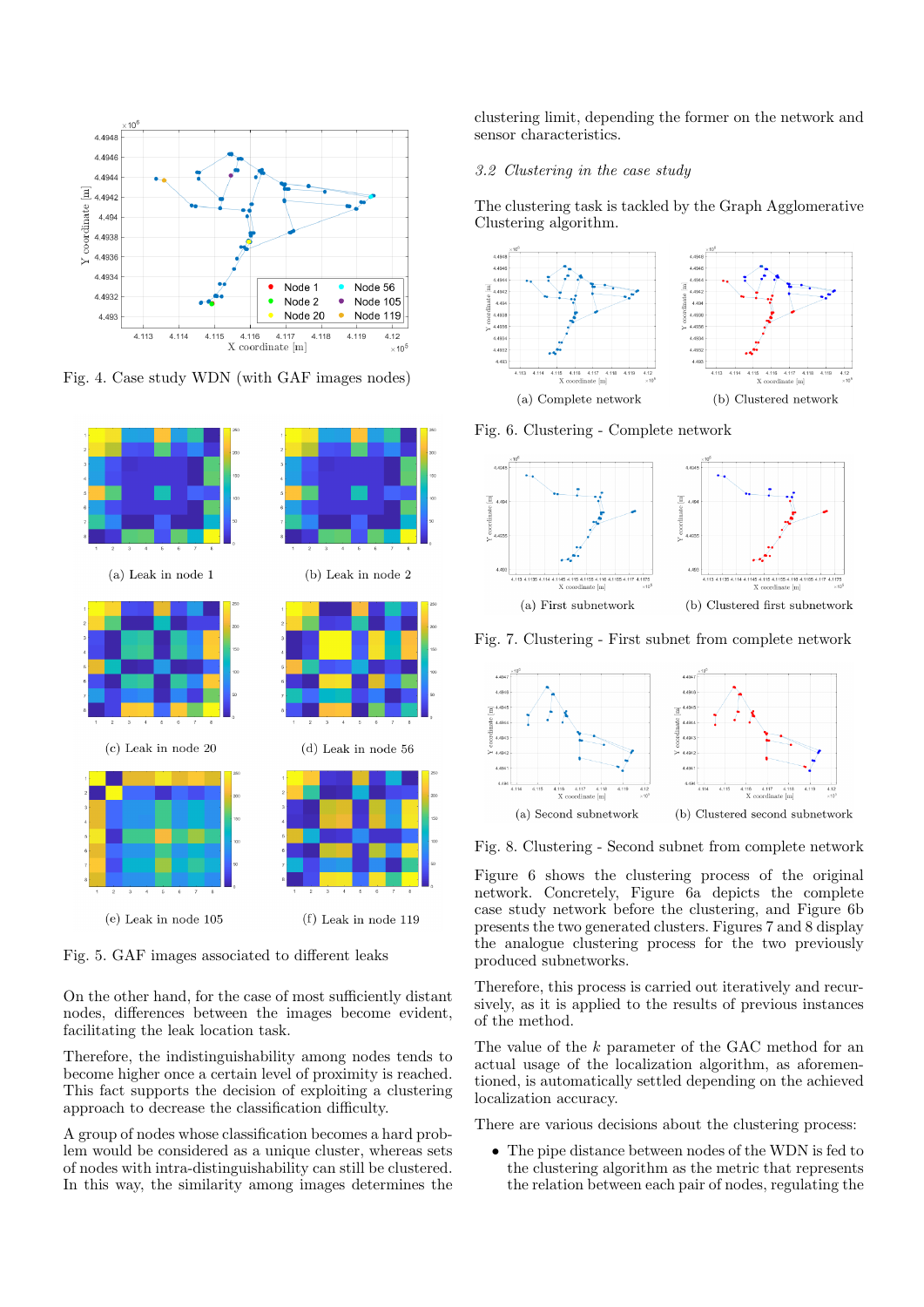

Fig. 4. Case study WDN (with GAF images nodes)



Fig. 5. GAF images associated to different leaks

On the other hand, for the case of most sufficiently distant nodes, differences between the images become evident, facilitating the leak location task.

Therefore, the indistinguishability among nodes tends to become higher once a certain level of proximity is reached. This fact supports the decision of exploiting a clustering approach to decrease the classification difficulty.

A group of nodes whose classification becomes a hard problem would be considered as a unique cluster, whereas sets of nodes with intra-distinguishability can still be clustered. In this way, the similarity among images determines the clustering limit, depending the former on the network and sensor characteristics.

## 3.2 Clustering in the case study

The clustering task is tackled by the Graph Agglomerative Clustering algorithm.



Fig. 6. Clustering - Complete network



Fig. 7. Clustering - First subnet from complete network



Fig. 8. Clustering - Second subnet from complete network

Figure 6 shows the clustering process of the original network. Concretely, Figure 6a depicts the complete case study network before the clustering, and Figure 6b presents the two generated clusters. Figures 7 and 8 display the analogue clustering process for the two previously produced subnetworks.

Therefore, this process is carried out iteratively and recursively, as it is applied to the results of previous instances of the method.

The value of the k parameter of the GAC method for an actual usage of the localization algorithm, as aforementioned, is automatically settled depending on the achieved localization accuracy.

There are various decisions about the clustering process:

• The pipe distance between nodes of the WDN is fed to the clustering algorithm as the metric that represents the relation between each pair of nodes, regulating the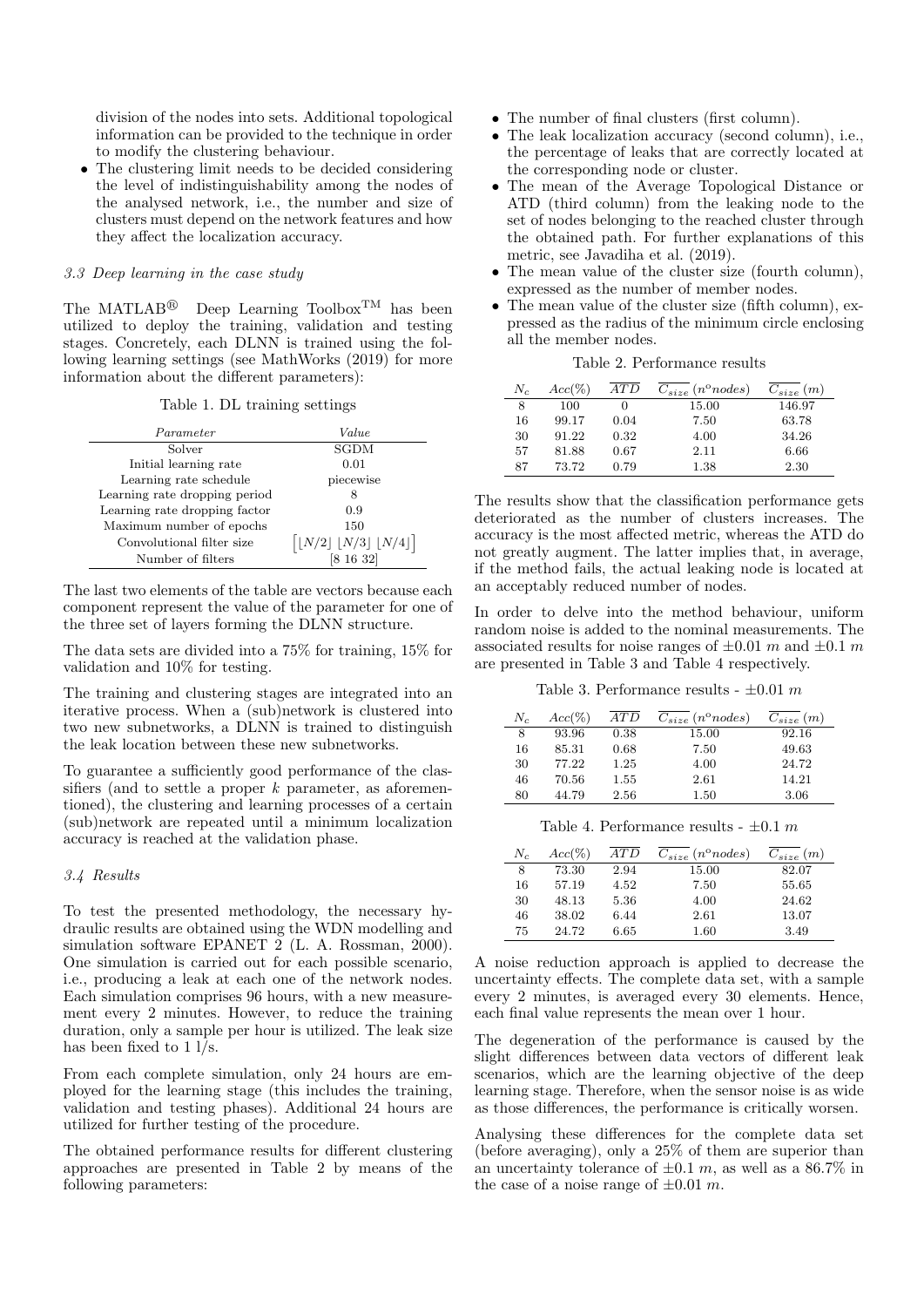division of the nodes into sets. Additional topological information can be provided to the technique in order to modify the clustering behaviour.

The clustering limit needs to be decided considering the level of indistinguishability among the nodes of the analysed network, i.e., the number and size of clusters must depend on the network features and how they affect the localization accuracy.

#### 3.3 Deep learning in the case study

The MATLAB<sup>®</sup> Deep Learning Toolbox<sup>TM</sup> has been utilized to deploy the training, validation and testing stages. Concretely, each DLNN is trained using the following learning settings (see MathWorks (2019) for more information about the different parameters):

#### Table 1. DL training settings

| Parameter                     | Value                                                             |
|-------------------------------|-------------------------------------------------------------------|
| Solver                        | <b>SGDM</b>                                                       |
| Initial learning rate         | 0.01                                                              |
| Learning rate schedule        | piecewise                                                         |
| Learning rate dropping period | 8                                                                 |
| Learning rate dropping factor | 0.9                                                               |
| Maximum number of epochs      | 150                                                               |
| Convolutional filter size     | $\lfloor N/2 \rfloor$ $\lfloor N/3 \rfloor$ $\lfloor N/4 \rfloor$ |
| Number of filters             | [8 16 32]                                                         |

The last two elements of the table are vectors because each component represent the value of the parameter for one of the three set of layers forming the DLNN structure.

The data sets are divided into a 75% for training, 15% for validation and 10% for testing.

The training and clustering stages are integrated into an iterative process. When a (sub)network is clustered into two new subnetworks, a DLNN is trained to distinguish the leak location between these new subnetworks.

To guarantee a sufficiently good performance of the classifiers (and to settle a proper  $k$  parameter, as aforementioned), the clustering and learning processes of a certain (sub)network are repeated until a minimum localization accuracy is reached at the validation phase.

#### 3.4 Results

To test the presented methodology, the necessary hydraulic results are obtained using the WDN modelling and simulation software EPANET 2 (L. A. Rossman, 2000). One simulation is carried out for each possible scenario, i.e., producing a leak at each one of the network nodes. Each simulation comprises 96 hours, with a new measurement every 2 minutes. However, to reduce the training duration, only a sample per hour is utilized. The leak size has been fixed to  $1 \overline{1/s}$ .

From each complete simulation, only 24 hours are employed for the learning stage (this includes the training, validation and testing phases). Additional 24 hours are utilized for further testing of the procedure.

The obtained performance results for different clustering approaches are presented in Table 2 by means of the following parameters:

- The number of final clusters (first column).
- The leak localization accuracy (second column), i.e., the percentage of leaks that are correctly located at the corresponding node or cluster.
- The mean of the Average Topological Distance or ATD (third column) from the leaking node to the set of nodes belonging to the reached cluster through the obtained path. For further explanations of this metric, see Javadiha et al. (2019).
- The mean value of the cluster size (fourth column), expressed as the number of member nodes.
- The mean value of the cluster size (fifth column), expressed as the radius of the minimum circle enclosing all the member nodes.

| Table 2. Performance results |  |
|------------------------------|--|
|                              |  |

| $N_c$ | $Acc(\%)$ | AT D | $C_{size}$ (n°nodes) | $C_{size}(m)$ |
|-------|-----------|------|----------------------|---------------|
| 8     | 100       |      | 15.00                | 146.97        |
| 16    | 99.17     | 0.04 | 7.50                 | 63.78         |
| 30    | 91.22     | 0.32 | 4.00                 | 34.26         |
| 57    | 81.88     | 0.67 | 2.11                 | 6.66          |
| 87    | 73.72     | 0.79 | 1.38                 | 2.30          |

The results show that the classification performance gets deteriorated as the number of clusters increases. The accuracy is the most affected metric, whereas the ATD do not greatly augment. The latter implies that, in average, if the method fails, the actual leaking node is located at an acceptably reduced number of nodes.

In order to delve into the method behaviour, uniform random noise is added to the nominal measurements. The associated results for noise ranges of  $\pm 0.01$  m and  $\pm 0.1$  m are presented in Table 3 and Table 4 respectively.

Table 3. Performance results -  $\pm 0.01$  m

| $N_c$ | $Acc(\%)$ | ATD  | $C_{size}$ (n°nodes) | $C_{size}(m)$ |
|-------|-----------|------|----------------------|---------------|
| 8     | 93.96     | 0.38 | 15.00                | 92.16         |
| 16    | 85.31     | 0.68 | 7.50                 | 49.63         |
| 30    | 77.22     | 1.25 | 4.00                 | 24.72         |
| 46    | 70.56     | 1.55 | 2.61                 | 14.21         |
| 80    | 44.79     | 2.56 | 1.50                 | 3.06          |

Table 4. Performance results -  $\pm 0.1$  m

| $N_c$ | $Acc(\%)$ | ATD  | $C_{size}$ (n°nodes) | $C_{size}(m)$ |
|-------|-----------|------|----------------------|---------------|
| 8     | 73.30     | 2.94 | 15.00                | 82.07         |
| 16    | 57.19     | 4.52 | 7.50                 | 55.65         |
| 30    | 48.13     | 5.36 | 4.00                 | 24.62         |
| 46    | 38.02     | 6.44 | 2.61                 | 13.07         |
| 75    | 24.72     | 6.65 | 1.60                 | 3.49          |

A noise reduction approach is applied to decrease the uncertainty effects. The complete data set, with a sample every 2 minutes, is averaged every 30 elements. Hence, each final value represents the mean over 1 hour.

The degeneration of the performance is caused by the slight differences between data vectors of different leak scenarios, which are the learning objective of the deep learning stage. Therefore, when the sensor noise is as wide as those differences, the performance is critically worsen.

Analysing these differences for the complete data set (before averaging), only a 25% of them are superior than an uncertainty tolerance of  $\pm 0.1$  m, as well as a 86.7% in the case of a noise range of  $\pm 0.01$  m.